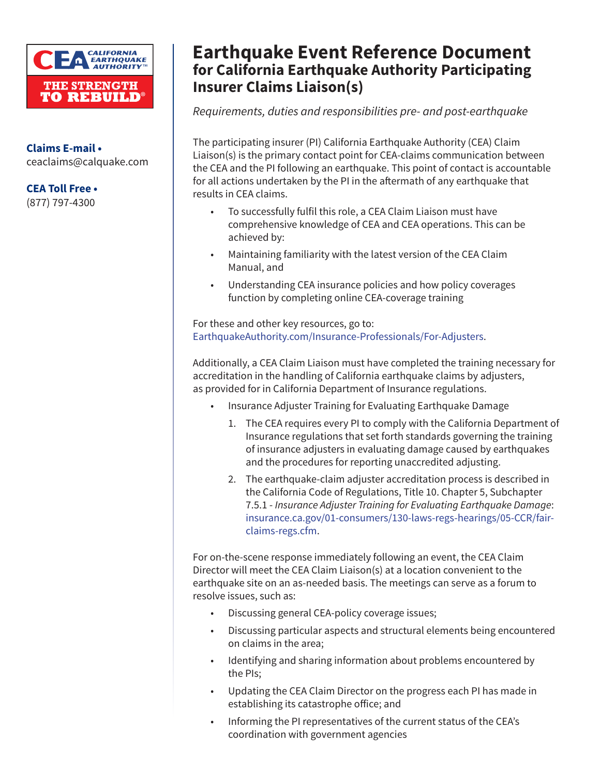

**Claims E-mail •** ceaclaims@calquake.com

**CEA Toll Free •**

(877) 797-4300

## **Earthquake Event Reference Document for California Earthquake Authority Participating Insurer Claims Liaison(s)**

*Requirements, duties and responsibilities pre- and post-earthquake*

The participating insurer (PI) California Earthquake Authority (CEA) Claim Liaison(s) is the primary contact point for CEA-claims communication between the CEA and the PI following an earthquake. This point of contact is accountable for all actions undertaken by the PI in the aftermath of any earthquake that results in CEA claims.

- To successfully fulfil this role, a CEA Claim Liaison must have comprehensive knowledge of CEA and CEA operations. This can be achieved by:
- Maintaining familiarity with the latest version of the CEA Claim Manual, and
- Understanding CEA insurance policies and how policy coverages function by completing online CEA-coverage training

For these and other key resources, go to: [EarthquakeAuthority.com/Insurance-Professionals/For-Adjusters.](http://EarthquakeAuthority.com/Insurance-Professionals/For-Adjusters)

Additionally, a CEA Claim Liaison must have completed the training necessary for accreditation in the handling of California earthquake claims by adjusters, as provided for in California Department of Insurance regulations.

- Insurance Adjuster Training for Evaluating Earthquake Damage
	- 1. The CEA requires every PI to comply with the California Department of Insurance regulations that set forth standards governing the training of insurance adjusters in evaluating damage caused by earthquakes and the procedures for reporting unaccredited adjusting.
	- 2. The earthquake-claim adjuster accreditation process is described in the California Code of Regulations, Title 10. Chapter 5, Subchapter 7.5.1 - *Insurance Adjuster Training for Evaluating Earthquake Damage*: [insurance.ca.gov/01-consumers/130-laws-regs-hearings/05-CCR/fair](http://insurance.ca.gov/01-consumers/130-laws-regs-hearings/05-CCR/fair-claims-regs.cfm)[claims-regs.cfm.](http://insurance.ca.gov/01-consumers/130-laws-regs-hearings/05-CCR/fair-claims-regs.cfm)

For on-the-scene response immediately following an event, the CEA Claim Director will meet the CEA Claim Liaison(s) at a location convenient to the earthquake site on an as-needed basis. The meetings can serve as a forum to resolve issues, such as:

- Discussing general CEA-policy coverage issues;
- Discussing particular aspects and structural elements being encountered on claims in the area;
- Identifying and sharing information about problems encountered by the PIs;
- Updating the CEA Claim Director on the progress each PI has made in establishing its catastrophe office; and
- Informing the PI representatives of the current status of the CEA's coordination with government agencies